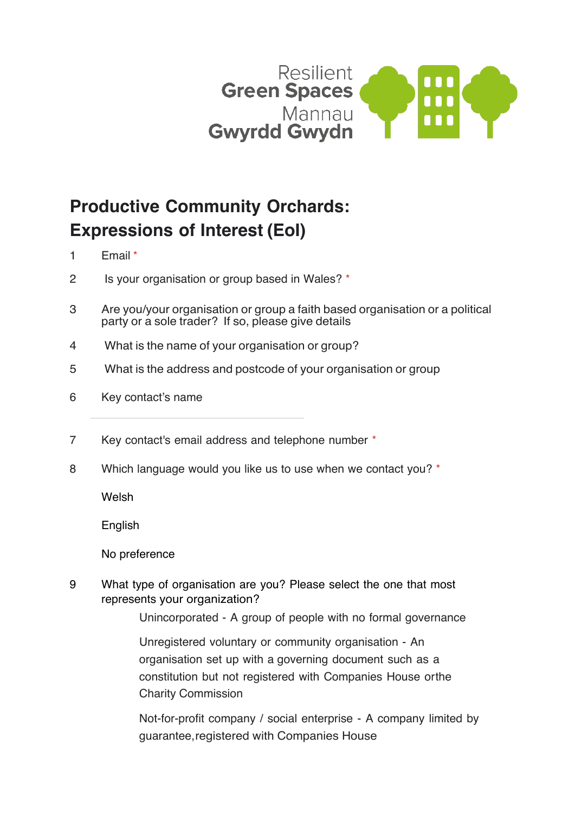

# **Productive Community Orchards: Expressions of Interest (EoI)**

- 1 Email \*
- 2 Is your organisation or group based in Wales? \*
- 3 Are you/your organisation or group a faith based organisation or a political party or a sole trader? If so, please give details
- 4 What is the name of your organisation or group?
- 5 What is the address and postcode of your organisation or group
- 6 Key contact's name
- 7 Key contact's email address and telephone number \*
- 8 Which language would you like us to use when we contact you? \*

Welsh

English

No preference

9 What type of organisation are you? Please select the one that most represents your organization?

Unincorporated - A group of people with no formal governance

Unregistered voluntary or community organisation - An organisation set up with a governing document such as a constitution but not registered with Companies House orthe Charity Commission

Not-for-profit company / social enterprise - A company limited by guarantee,registered with Companies House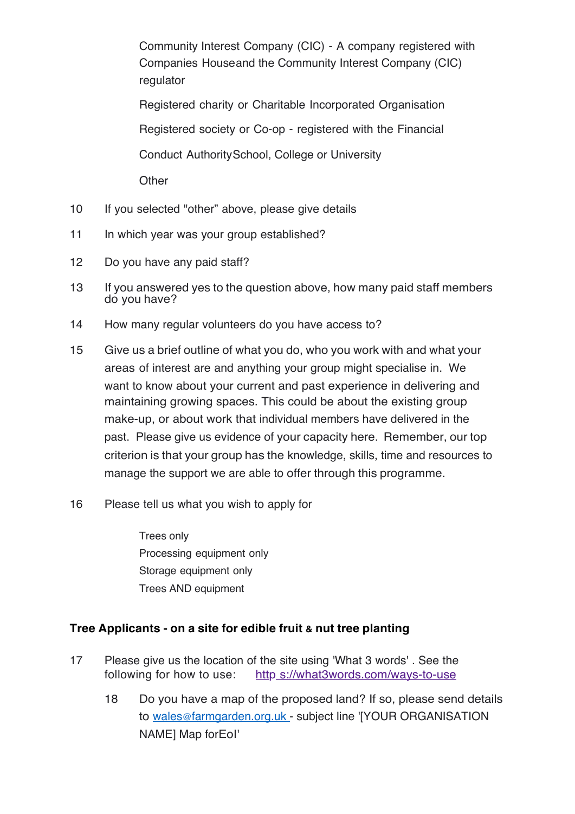Community Interest Company (CIC) - A company registered with Companies Houseand the Community Interest Company (CIC) regulator

Registered charity or Charitable Incorporated Organisation

Registered society or Co-op - registered with the Financial

Conduct AuthoritySchool, College or University

**Other** 

- 10 If you selected "other" above, please give details
- 11 In which year was your group established?
- 12 Do you have any paid staff?
- 13 If you answered yes to the question above, how many paid staff members do you have?
- 14 How many regular volunteers do you have access to?
- 15 Give us a brief outline of what you do, who you work with and what your areas of interest are and anything your group might specialise in. We want to know about your current and past experience in delivering and maintaining growing spaces. This could be about the existing group make-up, or about work that individual members have delivered in the past. Please give us evidence of your capacity here. Remember, our top criterion is that your group has the knowledge, skills, time and resources to manage the support we are able to offer through this programme.
- 16 Please tell us what you wish to apply for

Trees only Processing equipment only Storage equipment only Trees AND equipment

## **Tree Applicants - on a site for edible fruit & nut tree planting**

- 17 Please give us the location of the site using 'What 3 words' . See the following for how to use: http s://what3words.com/ways-to-use
	- 18 Do you have a map of the proposed land? If so, please send details to wales@farmgarden.org.uk - subject line '[YOUR ORGANISATION NAME] Map forEoI'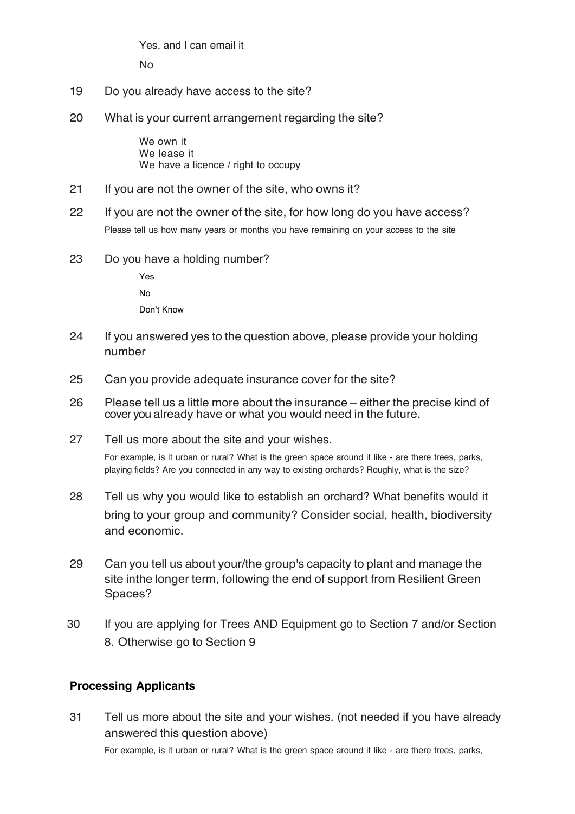Yes, and I can email it

No

- 19 Do you already have access to the site?
- 20 What is your current arrangement regarding the site?

We own it We lease it We have a licence / right to occupy

- 21 If you are not the owner of the site, who owns it?
- 22 If you are not the owner of the site, for how long do you have access? Please tell us how many years or months you have remaining on your access to the site
- 23 Do you have a holding number?

Yes No Don't Know

- 24 If you answered yes to the question above, please provide your holding number
- 25 Can you provide adequate insurance cover for the site?
- 26 Please tell us a little more about the insurance either the precise kind of cover you already have or what you would need in the future.
- 27 Tell us more about the site and your wishes. For example, is it urban or rural? What is the green space around it like - are there trees, parks, playing fields? Are you connected in any way to existing orchards? Roughly, what is the size?
- 28 Tell us why you would like to establish an orchard? What benefits would it bring to your group and community? Consider social, health, biodiversity and economic.
- 29 Can you tell us about your/the group's capacity to plant and manage the site inthe longer term, following the end of support from Resilient Green Spaces?
- 30 If you are applying for Trees AND Equipment go to Section 7 and/or Section 8. Otherwise go to Section 9

## **Processing Applicants**

31 Tell us more about the site and your wishes. (not needed if you have already answered this question above)

For example, is it urban or rural? What is the green space around it like - are there trees, parks,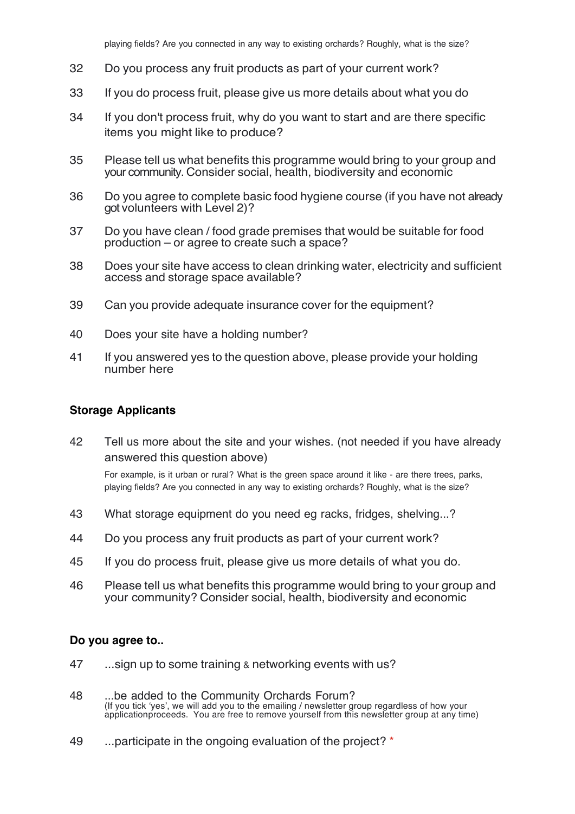- 32 Do you process any fruit products as part of your current work?
- 33 If you do process fruit, please give us more details about what you do
- 34 If you don't process fruit, why do you want to start and are there specific items you might like to produce?
- 35 Please tell us what benefits this programme would bring to your group and your community. Consider social, health, biodiversity and economic
- 36 Do you agree to complete basic food hygiene course (if you have not already got volunteers with Level 2)?
- 37 Do you have clean / food grade premises that would be suitable for food production – or agree to create such a space?
- 38 Does your site have access to clean drinking water, electricity and sufficient access and storage space available?
- 39 Can you provide adequate insurance cover for the equipment?
- 40 Does your site have a holding number?
- 41 If you answered yes to the question above, please provide your holding number here

#### **Storage Applicants**

42 Tell us more about the site and your wishes. (not needed if you have already answered this question above)

For example, is it urban or rural? What is the green space around it like - are there trees, parks, playing fields? Are you connected in any way to existing orchards? Roughly, what is the size?

- 43 What storage equipment do you need eg racks, fridges, shelving...?
- 44 Do you process any fruit products as part of your current work?
- 45 If you do process fruit, please give us more details of what you do.
- 46 Please tell us what benefits this programme would bring to your group and your community? Consider social, health, biodiversity and economic

#### **Do you agree to..**

- 47 ...sign up to some training & networking events with us?
- 48 ...be added to the Community Orchards Forum? (If you tick 'yes', we will add you to the emailing / newsletter group regardless of how your applicationproceeds. You are free to remove yourself from this newsletter group at any time)
- 49 ...participate in the ongoing evaluation of the project? \*